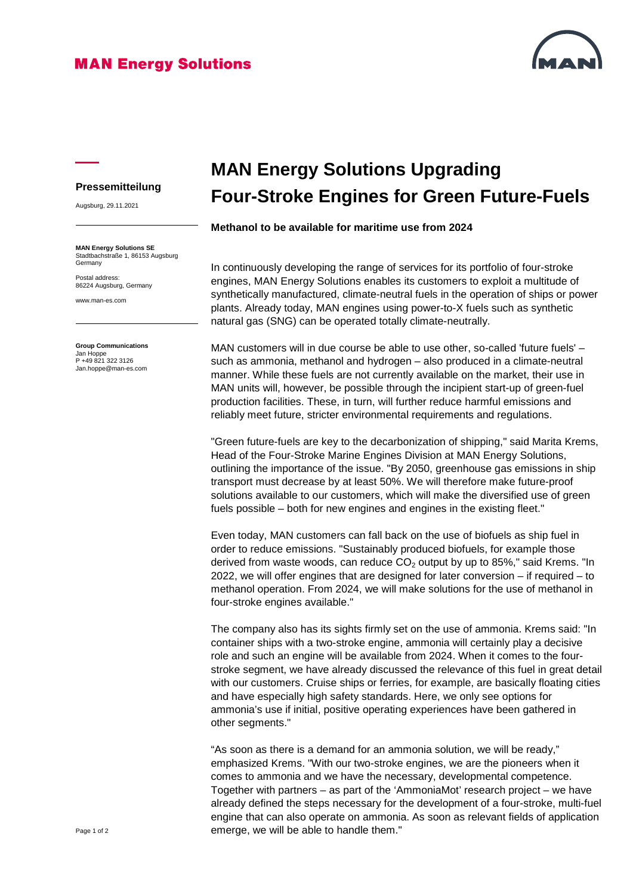## **MAN Energy Solutions**



## **Pressemitteilung**

Augsburg, 29.11.2021

**MAN Energy Solutions SE** Stadtbachstraße 1, 86153 Augsburg Germany

Postal address: 86224 Augsburg, Germany

www.man-es.com

**Group Communications** Jan Hoppe P +49 821 322 3126 Jan.hoppe@man-es.com

## **MAN Energy Solutions Upgrading Four-Stroke Engines for Green Future-Fuels**

**Methanol to be available for maritime use from 2024**

In continuously developing the range of services for its portfolio of four-stroke engines, MAN Energy Solutions enables its customers to exploit a multitude of synthetically manufactured, climate-neutral fuels in the operation of ships or power plants. Already today, MAN engines using power-to-X fuels such as synthetic natural gas (SNG) can be operated totally climate-neutrally.

MAN customers will in due course be able to use other, so-called 'future fuels' – such as ammonia, methanol and hydrogen – also produced in a climate-neutral manner. While these fuels are not currently available on the market, their use in MAN units will, however, be possible through the incipient start-up of green-fuel production facilities. These, in turn, will further reduce harmful emissions and reliably meet future, stricter environmental requirements and regulations.

"Green future-fuels are key to the decarbonization of shipping," said Marita Krems, Head of the Four-Stroke Marine Engines Division at MAN Energy Solutions, outlining the importance of the issue. "By 2050, greenhouse gas emissions in ship transport must decrease by at least 50%. We will therefore make future-proof solutions available to our customers, which will make the diversified use of green fuels possible – both for new engines and engines in the existing fleet."

Even today, MAN customers can fall back on the use of biofuels as ship fuel in order to reduce emissions. "Sustainably produced biofuels, for example those derived from waste woods, can reduce  $CO<sub>2</sub>$  output by up to 85%," said Krems. "In 2022, we will offer engines that are designed for later conversion – if required – to methanol operation. From 2024, we will make solutions for the use of methanol in four-stroke engines available."

The company also has its sights firmly set on the use of ammonia. Krems said: "In container ships with a two-stroke engine, ammonia will certainly play a decisive role and such an engine will be available from 2024. When it comes to the fourstroke segment, we have already discussed the relevance of this fuel in great detail with our customers. Cruise ships or ferries, for example, are basically floating cities and have especially high safety standards. Here, we only see options for ammonia's use if initial, positive operating experiences have been gathered in other segments."

"As soon as there is a demand for an ammonia solution, we will be ready," emphasized Krems. "With our two-stroke engines, we are the pioneers when it comes to ammonia and we have the necessary, developmental competence. Together with partners – as part of the 'AmmoniaMot' research project – we have already defined the steps necessary for the development of a four-stroke, multi-fuel engine that can also operate on ammonia. As soon as relevant fields of application emerge, we will be able to handle them."